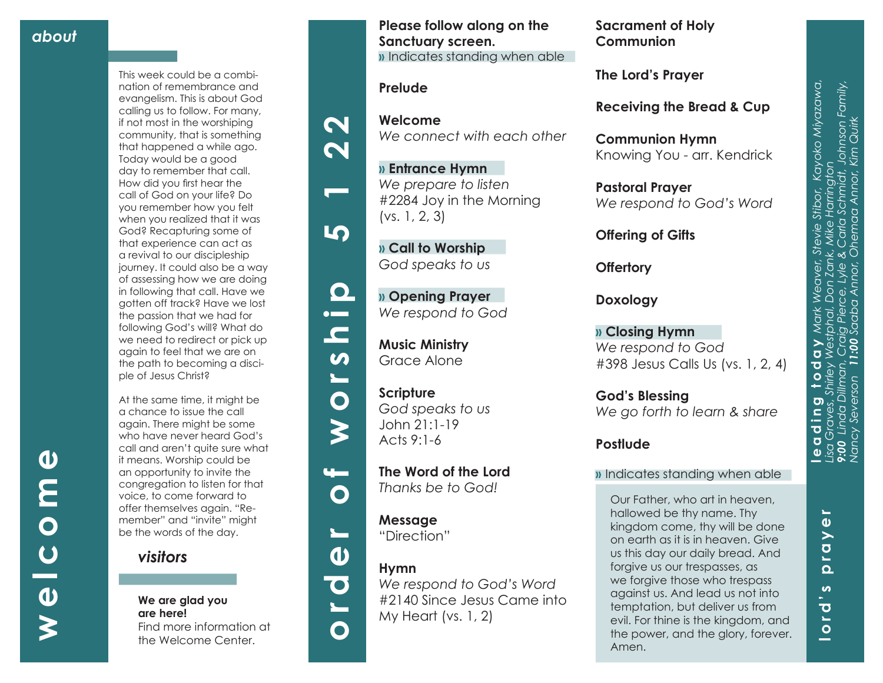**welcome**

 $\overline{U}$ 

 $\boldsymbol{\omega}$ 

 $\boldsymbol{\boldsymbol{\zeta}}$ 

 $\bullet$ 

E

 $\overline{\mathbf{O}}$ 

This week could be a combi nation of remembrance and evangelism. This is about God calling us to follow. For many, if not most in the worshiping community, that is something that happened a while ago. Today would be a good day to remember that call. How did you first hear the call of God on your life? Do you remember how you felt when you realized that it was God? Recapturing some of that experience can act as a revival to our discipleship journey. It could also be a way of assessing how we are doing in following that call. Have we gotten off track? Have we lost the passion that we had for following God's will? What do we need to redirect or pick up again to feel that we are on the path to becoming a disci ple of Jesus Christ?

At the same time, it might be a chance to issue the call again. There might be some who have never heard God's call and aren't quite sure what it means. Worship could be an opportunity to invite the congregation to listen for that voice, to come forward to offer themselves again. "Re member" and "invite" might be the words of the day.

*visitors*

#### **We are glad you are here!** Find more information at the Welcome Center.

**Please follow along on the Sanctuary screen. »** Indicates standing when able

### **Prelude**

 $\boldsymbol{\mathsf{N}}$ 

 $\overline{\mathbf{N}}$ 

5

 $\mathbf{\Omega}$  $\bullet$ 

 $\mathbf{r}$ 

 $\boldsymbol{\omega}$ 

 $\blacksquare$ 

 $\bullet$ 

 $\blacktriangleright$ 

 $\mathbf{u}$ 

 $\mathbf O$ 

 $\sum_{i=1}^{n}$ 

 $\mathbf O$ 

**Welcome** *We connect with each other*

**» Entrance Hymn**  *We prepare to listen* #2284 Joy in the Morning (vs. 1, 2, 3)

**» Call to Worship**  *God speaks to us*

**» Opening Prayer**  *We respond to God*

**Music Ministry**  Grace Alone

**Scripture** *God speaks to us* John 21:1-19 Acts 9:1-6

**The Word of the Lord**  *Thanks be to God!*

**Message** "Direction"



**Hymn** 

*We respond to God's Word*  #2140 Since Jesus Came into My Heart (vs. 1, 2)

**Sacrament of Holy Communion**

**The Lord's Prayer**

**Receiving the Bread & Cup** 

**Communion Hymn** Knowing You - arr. Kendrick

**Pastoral Prayer** *We respond to God's Word*

**Offering of Gifts** 

**Offertory**

**Doxology**

**» Closing Hymn** *We respond to God* #398 Jesus Calls Us (vs. 1, 2, 4)

**God's Blessing** *We go forth to learn & share*

## **Postlude**

### **»** Indicates standing when able

Our Father, who art in heaven, hallowed be thy name. Thy kingdom come, thy will be done on earth as it is in heaven. Give us this day our daily bread. And forgive us our trespasses, as we forgive those who trespass against us. And lead us not into temptation, but deliver us from evil. For thine is the kingdom, and the power, and the glory, forever. Amen.